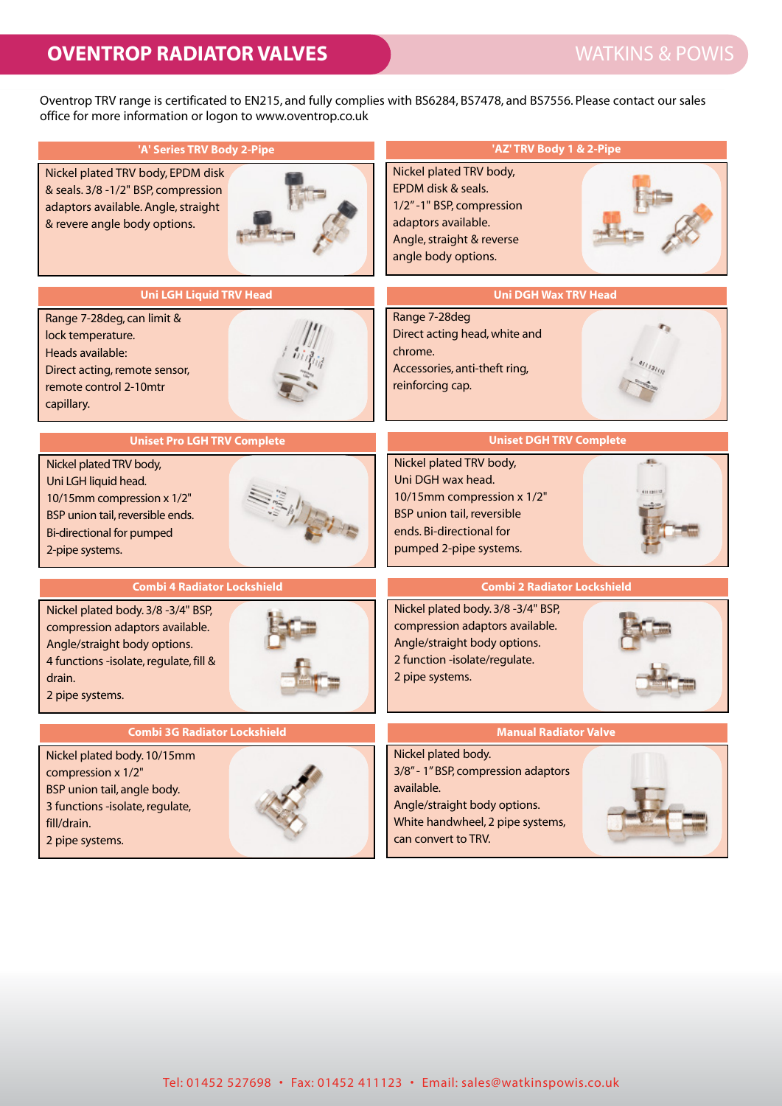Oventrop TRV range is certificated to EN215, and fully complies with BS6284, BS7478, and BS7556. Please contact our sales office for more information or logon to www.oventrop.co.uk

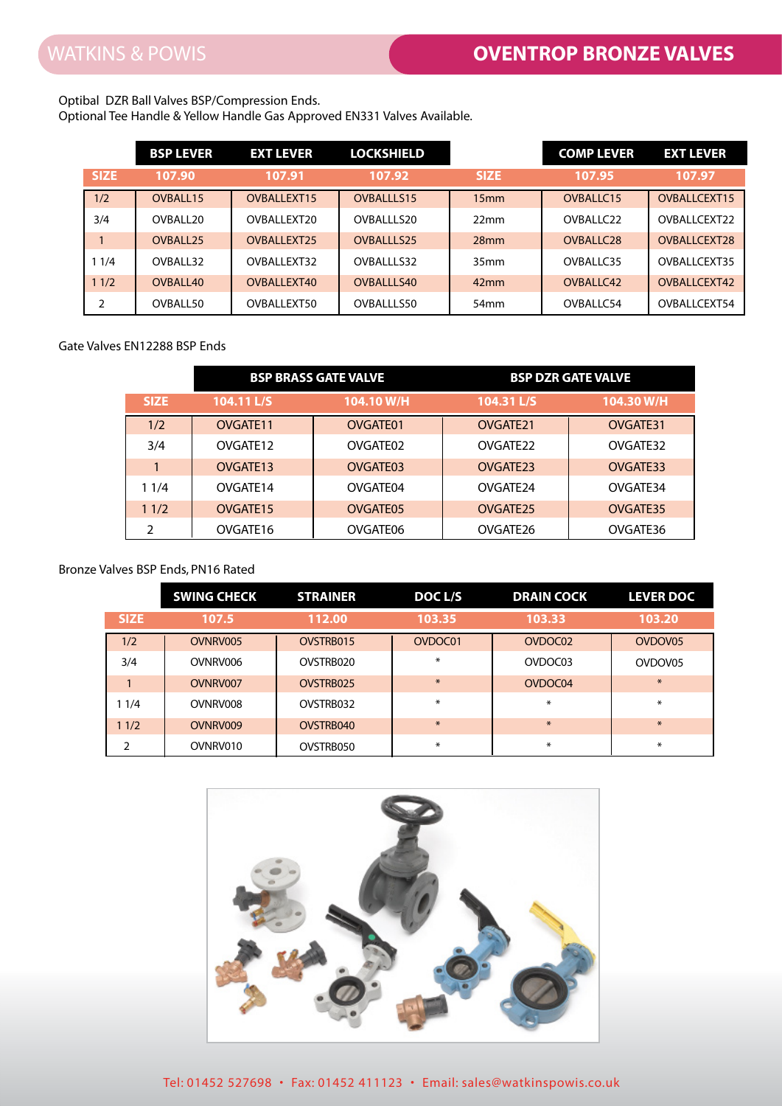## Optibal DZR Ball Valves BSP/Compression Ends.

|              | <b>BSP LEVER</b>     | <b>EXT LEVER</b>   | <b>LOCKSHIELD</b> |                  | <b>COMP LEVER</b>     | <b>EXT LEVER</b> |
|--------------|----------------------|--------------------|-------------------|------------------|-----------------------|------------------|
| <b>SIZE</b>  | 107.90               | 107.91             | 107.92            | <b>SIZE</b>      | 107.95                | 107.97           |
| 1/2          | OVBALL15             | OVBALLEXT15        | <b>OVBALLLS15</b> | 15mm             | OVBALLC15             | OVBALLCEXT15     |
| 3/4          | OVBALL 20            | OVBALL EXT20       | OVBALLI S20       | 22mm             | OVBALIC <sub>22</sub> | OVBALL CEXT22    |
| $\mathbf{1}$ | OVBALL <sub>25</sub> | <b>OVBALLEXT25</b> | <b>OVBALLLS25</b> | 28mm             | OVBALLC28             | OVBALLCEXT28     |
| 11/4         | OVBALL32             | OVBALLEXT32        | OVBALLLS32        | 35 <sub>mm</sub> | OVBALLC35             | OVBALLCEXT35     |
| 11/2         | OVBALL40             | OVBALLEXT40        | OVBALLLS40        | 42mm             | OVBALLC42             | OVBALLCEXT42     |
| 2            | OVBALL50             | OVBALLEXT50        | OVBALLLS50        | 54mm             | OVBALLC54             | OVBALLCEXT54     |

## Gate Valves EN12288 BSP Ends

|             | <b>BSP BRASS GATE VALVE</b> |            | <b>BSP DZR GATE VALVE</b> |            |  |
|-------------|-----------------------------|------------|---------------------------|------------|--|
| <b>SIZE</b> | 104.11 L/S                  | 104.10 W/H | 104.31 L/S                | 104.30 W/H |  |
| 1/2         | OVGATE <sub>11</sub>        | OVGATE01   | OVGATE21                  | OVGATE31   |  |
| 3/4         | OVGATE <sub>12</sub>        | OVGATE02   | OVGATE <sub>22</sub>      | OVGATE32   |  |
|             | OVGATE <sub>13</sub>        | OVGATE03   | OVGATE <sub>23</sub>      | OVGATE33   |  |
| 11/4        | OVGATE <sub>14</sub>        | OVGATE04   | OVGATE <sub>24</sub>      | OVGATE34   |  |
| 11/2        | OVGATE <sub>15</sub>        | OVGATE05   | OVGATE <sub>25</sub>      | OVGATE35   |  |
|             | OVGATE16                    | OVGATE06   | OVGATE26                  | OVGATE36   |  |

## Bronze Valves BSP Ends, PN16 Rated

|             | <b>SWING CHECK</b> | <b>STRAINER</b> | DOC L/S | <b>DRAIN COCK</b>   | <b>LEVER DOC</b>    |
|-------------|--------------------|-----------------|---------|---------------------|---------------------|
| <b>SIZE</b> | 107.5              | 112.00          | 103.35  | 103.33              | 103.20              |
| 1/2         | OVNRV005           | OVSTRB015       | OVDOC01 | OVDOC <sub>02</sub> | OVDOV <sub>05</sub> |
| 3/4         | OVNRV006           | OVSTRB020       | $\ast$  | OVDOC03             | OVDOV <sub>05</sub> |
|             | OVNRV007           | OVSTRB025       | $\ast$  | OVDOC04             | $\ast$              |
| 11/4        | OVNRV008           | OVSTRB032       | $\ast$  | ⋇                   | ⋇                   |
| 11/2        | OVNRV009           | OVSTRB040       | $\ast$  | $*$                 | $*$                 |
| 2           | OVNRV010           | OVSTRB050       | $\ast$  | $\ast$              | ∗                   |

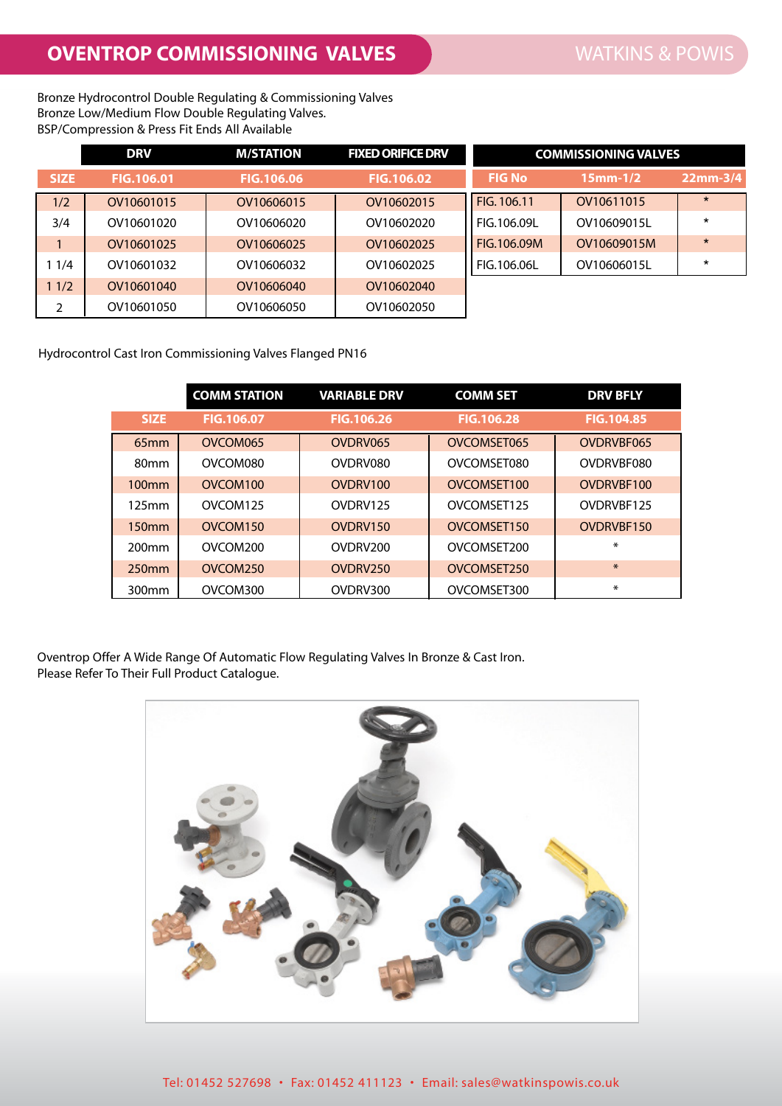Bronze Hydrocontrol Double Regulating & Commissioning Valves Bronze Low/Medium Flow Double Regulating Valves. BSP/Compression & Press Fit Ends All Available

|             | <b>DRV</b>        | <b>M/STATION</b>  | <b>FIXED ORIFICE DRV</b> |               | <b>COMMISSIONING VALVES</b> |            |
|-------------|-------------------|-------------------|--------------------------|---------------|-----------------------------|------------|
| <b>SIZE</b> | <b>FIG.106.01</b> | <b>FIG.106.06</b> | <b>FIG.106.02</b>        | <b>FIG No</b> | $15mm-1/2$                  | $22mm-3/4$ |
| 1/2         | OV10601015        | OV10606015        | OV10602015               | FIG. 106.11   | OV10611015                  | $\star$    |
| 3/4         | OV10601020        | OV10606020        | OV10602020               | FIG.106.09L   | OV10609015L                 | $\star$    |
|             | OV10601025        | OV10606025        | OV10602025               | FIG.106.09M   | OV10609015M                 | $\star$    |
| 1/4         | OV10601032        | OV10606032        | OV10602025               | FIG.106.06L   | OV10606015L                 | $\star$    |
| 1/2         | OV10601040        | OV10606040        | OV10602040               |               |                             |            |
| 2           | OV10601050        | OV10606050        | OV10602050               |               |                             |            |

Hydrocontrol Cast Iron Commissioning Valves Flanged PN16

|                   | <b>COMM STATION</b>  | <b>VARIABLE DRV</b>  | <b>COMM SET</b>   | <b>DRV BFLY</b>   |
|-------------------|----------------------|----------------------|-------------------|-------------------|
| <b>SIZE</b>       | <b>FIG.106.07</b>    | <b>FIG.106.26</b>    | <b>FIG.106.28</b> | <b>FIG.104.85</b> |
| 65mm              | OVCOM065             | OVDRV065             | OVCOMSET065       | OVDRVBF065        |
| 80 <sub>mm</sub>  | OVCOM080             | OVDRV080             | OVCOMSET080       | OVDRVBF080        |
| 100 <sub>mm</sub> | OVCOM <sub>100</sub> | OVDRV100             | OVCOMSET100       | OVDRVBE100        |
| $125$ mm          | OVCOM <sub>125</sub> | OVDRV125             | OVCOMSET125       | OVDRVBF125        |
| 150 <sub>mm</sub> | OVCOM <sub>150</sub> | OVDRV150             | OVCOMSET150       | OVDRVBF150        |
| 200 <sub>mm</sub> | OVCOM <sub>200</sub> | OVDRV <sub>200</sub> | OVCOMSET200       | ⋇                 |
| 250 <sub>mm</sub> | OVCOM250             | OVDRV250             | OVCOMSET250       | $\ast$            |
| 300 <sub>mm</sub> | OVCOM300             | OVDRV300             | OVCOMSET300       | $\ast$            |

Oventrop Offer A Wide Range Of Automatic Flow Regulating Valves In Bronze & Cast Iron. Please Refer To Their Full Product Catalogue.